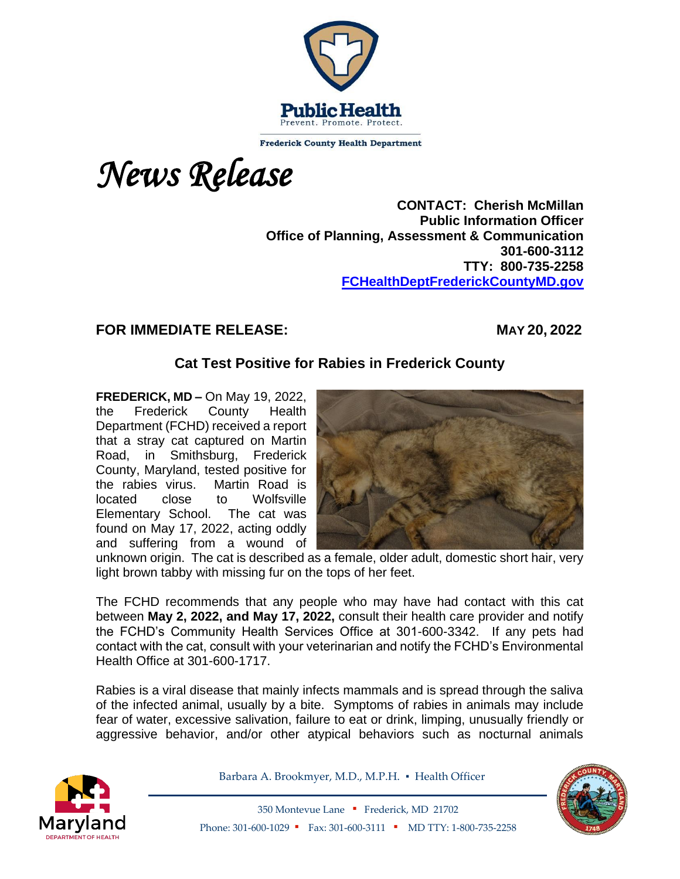

**Frederick County Health Department** 

*News Release*

**CONTACT: Cherish McMillan Public Information Officer Office of Planning, Assessment & Communication 301-600-3112 TTY: 800-735-2258 [FCHealthDeptFrederickCountyMD.gov](mailto:RWatkins@FrederickCountyMD.gov)**

## **FOR IMMEDIATE RELEASE: MAY 20, 2022**

## **Cat Test Positive for Rabies in Frederick County**

**FREDERICK, MD –** On May 19, 2022, the Frederick County Health Department (FCHD) received a report that a stray cat captured on Martin Road, in Smithsburg, Frederick County, Maryland, tested positive for the rabies virus. Martin Road is located close to Wolfsville Elementary School. The cat was found on May 17, 2022, acting oddly and suffering from a wound of



unknown origin. The cat is described as a female, older adult, domestic short hair, very light brown tabby with missing fur on the tops of her feet.

The FCHD recommends that any people who may have had contact with this cat between **May 2, 2022, and May 17, 2022,** consult their health care provider and notify the FCHD's Community Health Services Office at 301-600-3342. If any pets had contact with the cat, consult with your veterinarian and notify the FCHD's Environmental Health Office at 301-600-1717.

Rabies is a viral disease that mainly infects mammals and is spread through the saliva of the infected animal, usually by a bite. Symptoms of rabies in animals may include fear of water, excessive salivation, failure to eat or drink, limping, unusually friendly or aggressive behavior, and/or other atypical behaviors such as nocturnal animals



Barbara A. Brookmyer, M.D., M.P.H. · Health Officer